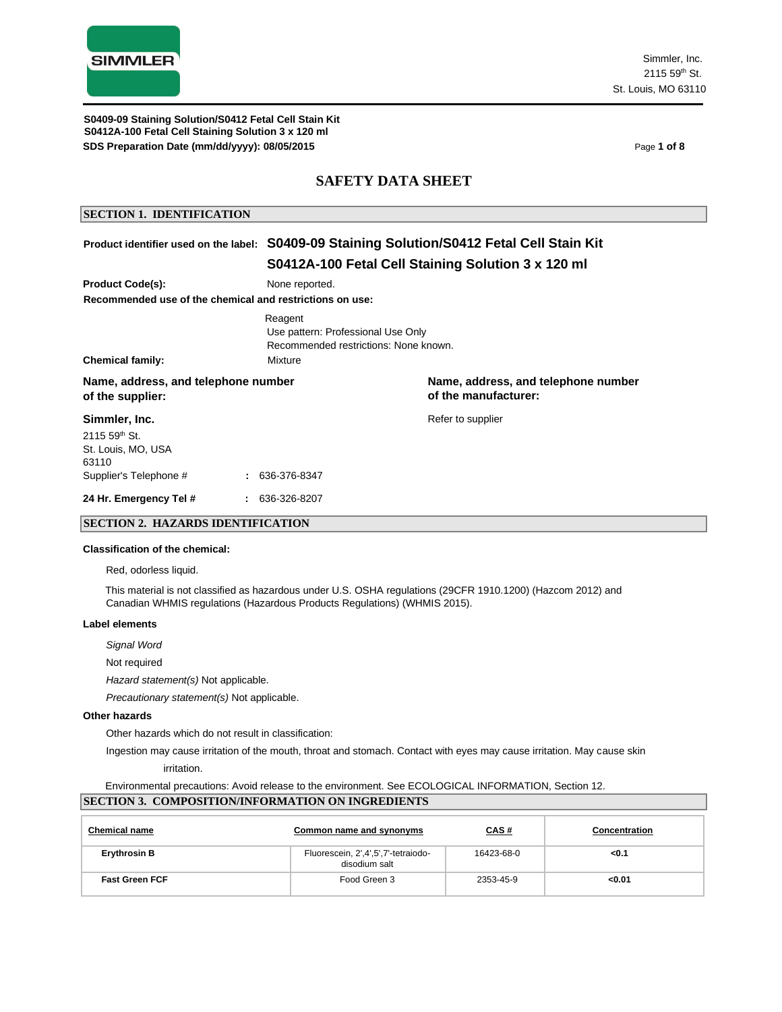

Simmler, Inc.  $2115.59^{th}$  St. St. Louis, MO 63110

**S0412A-100 Fetal Cell Staining Solution 3 x 120 ml SDS Preparation Date (mm/dd/yyyy): 08/05/2015 Page 1 of 8 Page 1 of 8 S0409-09 Staining Solution/S0412 Fetal Cell Stain Kit**

### **SAFETY DATA SHEET**

### **SECTION 1. IDENTIFICATION**

### **Product identifier used on the label: S0409-09 Staining Solution/S0412 Fetal Cell Stain Kit S0412A-100 Fetal Cell Staining Solution 3 x 120 ml**

|                                                         |                                                          | - 21                                                        |  |  |  |
|---------------------------------------------------------|----------------------------------------------------------|-------------------------------------------------------------|--|--|--|
| <b>Product Code(s):</b>                                 | None reported.                                           |                                                             |  |  |  |
|                                                         | Recommended use of the chemical and restrictions on use: |                                                             |  |  |  |
| Chemical family:                                        | Reagent<br>Use pattern: Professional Use Only<br>Mixture | Recommended restrictions: None known.                       |  |  |  |
| Name, address, and telephone number<br>of the supplier: |                                                          | Name, address, and telephone number<br>of the manufacturer: |  |  |  |
| Simmler, Inc.<br>2115 59 <sup>th</sup> St.              |                                                          | Refer to supplier                                           |  |  |  |
| St. Louis, MO, USA<br>63110                             |                                                          |                                                             |  |  |  |
| Supplier's Telephone #                                  | $: 636-376-8347$                                         |                                                             |  |  |  |
| 24 Hr. Emergency Tel #                                  | $: 636-326-8207$                                         |                                                             |  |  |  |

### **SECTION 2. HAZARDS IDENTIFICATION**

#### **Classification of the chemical:**

Red, odorless liquid.

This material is not classified as hazardous under U.S. OSHA regulations (29CFR 1910.1200) (Hazcom 2012) and Canadian WHMIS regulations (Hazardous Products Regulations) (WHMIS 2015).

#### **Label elements**

*Signal Word*

Not required

*Hazard statement(s)* Not applicable.

*Precautionary statement(s)* Not applicable.

#### **Other hazards**

Other hazards which do not result in classification:

Ingestion may cause irritation of the mouth, throat and stomach. Contact with eyes may cause irritation. May cause skin

irritation.

Environmental precautions: Avoid release to the environment. See ECOLOGICAL INFORMATION, Section 12.

### **SECTION 3. COMPOSITION/INFORMATION ON INGREDIENTS**

| <b>Chemical name</b>  | Common name and synonyms                             | <u>CAS #</u> | <b>Concentration</b> |
|-----------------------|------------------------------------------------------|--------------|----------------------|
| <b>Erythrosin B</b>   | Fluorescein, 2',4',5',7'-tetraiodo-<br>disodium salt | 16423-68-0   | $0.1$                |
| <b>Fast Green FCF</b> | Food Green 3                                         | 2353-45-9    | < 0.01               |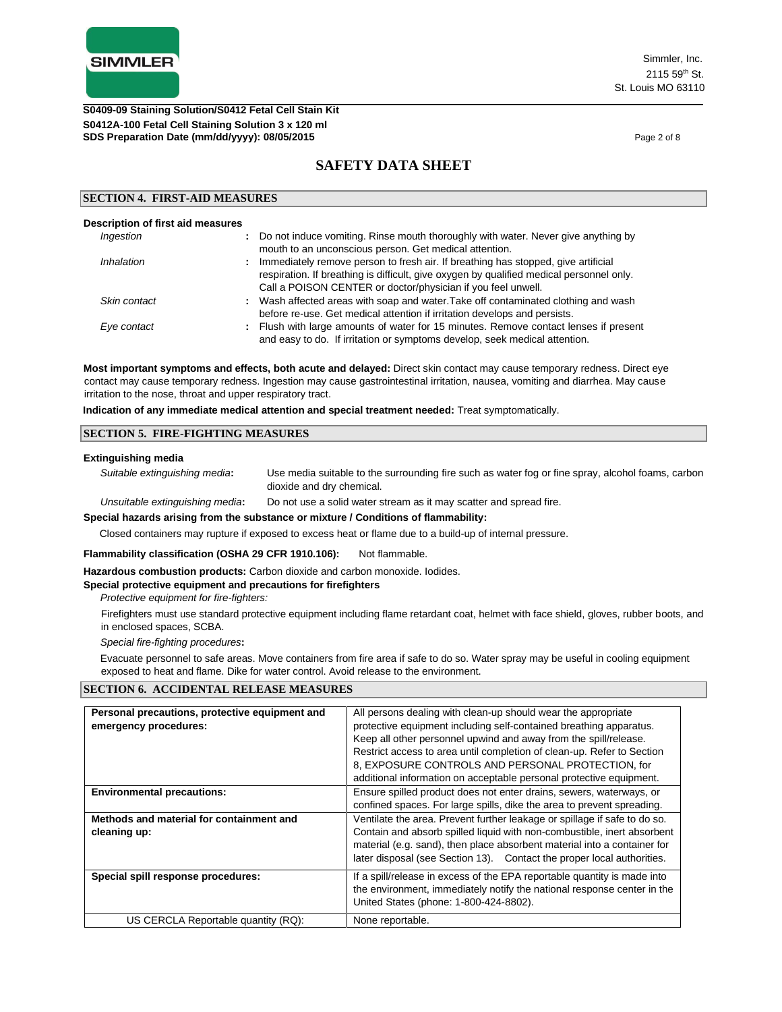

#### **S0412A-100 Fetal Cell Staining Solution 3 x 120 ml SDS Preparation Date (mm/dd/yyyy): 08/05/2015 Page 2 of 8 Page 2 of 8 Page 2 of 8 S0409-09 Staining Solution/S0412 Fetal Cell Stain Kit**

# **SAFETY DATA SHEET**

#### **SECTION 4. FIRST-AID MEASURES**

| Description of first aid measures |                                                                                                                                                                                                                                                     |
|-----------------------------------|-----------------------------------------------------------------------------------------------------------------------------------------------------------------------------------------------------------------------------------------------------|
| Ingestion                         | Do not induce vomiting. Rinse mouth thoroughly with water. Never give anything by<br>÷.<br>mouth to an unconscious person. Get medical attention.                                                                                                   |
| Inhalation                        | Immediately remove person to fresh air. If breathing has stopped, give artificial<br>÷.<br>respiration. If breathing is difficult, give oxygen by qualified medical personnel only.<br>Call a POISON CENTER or doctor/physician if you feel unwell. |
| Skin contact                      | : Wash affected areas with soap and water. Take off contaminated clothing and wash<br>before re-use. Get medical attention if irritation develops and persists.                                                                                     |
| Eye contact                       | : Flush with large amounts of water for 15 minutes. Remove contact lenses if present<br>and easy to do. If irritation or symptoms develop, seek medical attention.                                                                                  |

**Most important symptoms and effects, both acute and delayed:** Direct skin contact may cause temporary redness. Direct eye contact may cause temporary redness. Ingestion may cause gastrointestinal irritation, nausea, vomiting and diarrhea. May cause irritation to the nose, throat and upper respiratory tract.

**Indication of any immediate medical attention and special treatment needed:** Treat symptomatically.

#### **SECTION 5. FIRE-FIGHTING MEASURES**

#### **Extinguishing media**

*Suitable extinguishing media***:** Use media suitable to the surrounding fire such as water fog or fine spray, alcohol foams, carbon dioxide and dry chemical.

*Unsuitable extinguishing media***:** Do not use a solid water stream as it may scatter and spread fire.

#### **Special hazards arising from the substance or mixture / Conditions of flammability:**

Closed containers may rupture if exposed to excess heat or flame due to a build-up of internal pressure.

Flammability classification (OSHA 29 CFR 1910.106): Not flammable.

**Hazardous combustion products:** Carbon dioxide and carbon monoxide. Iodides.

### **Special protective equipment and precautions for firefighters**

*Protective equipment for fire-fighters:*

Firefighters must use standard protective equipment including flame retardant coat, helmet with face shield, gloves, rubber boots, and in enclosed spaces, SCBA.

*Special fire-fighting procedures***:**

Evacuate personnel to safe areas. Move containers from fire area if safe to do so. Water spray may be useful in cooling equipment exposed to heat and flame. Dike for water control. Avoid release to the environment.

#### **SECTION 6. ACCIDENTAL RELEASE MEASURES**

| Personal precautions, protective equipment and | All persons dealing with clean-up should wear the appropriate             |
|------------------------------------------------|---------------------------------------------------------------------------|
| emergency procedures:                          | protective equipment including self-contained breathing apparatus.        |
|                                                | Keep all other personnel upwind and away from the spill/release.          |
|                                                | Restrict access to area until completion of clean-up. Refer to Section    |
|                                                | 8, EXPOSURE CONTROLS AND PERSONAL PROTECTION, for                         |
|                                                | additional information on acceptable personal protective equipment.       |
| <b>Environmental precautions:</b>              | Ensure spilled product does not enter drains, sewers, waterways, or       |
|                                                | confined spaces. For large spills, dike the area to prevent spreading.    |
| Methods and material for containment and       | Ventilate the area. Prevent further leakage or spillage if safe to do so. |
| cleaning up:                                   | Contain and absorb spilled liquid with non-combustible, inert absorbent   |
|                                                | material (e.g. sand), then place absorbent material into a container for  |
|                                                | later disposal (see Section 13). Contact the proper local authorities.    |
| Special spill response procedures:             | If a spill/release in excess of the EPA reportable quantity is made into  |
|                                                | the environment, immediately notify the national response center in the   |
|                                                | United States (phone: 1-800-424-8802).                                    |
| US CERCLA Reportable quantity (RQ):            | None reportable.                                                          |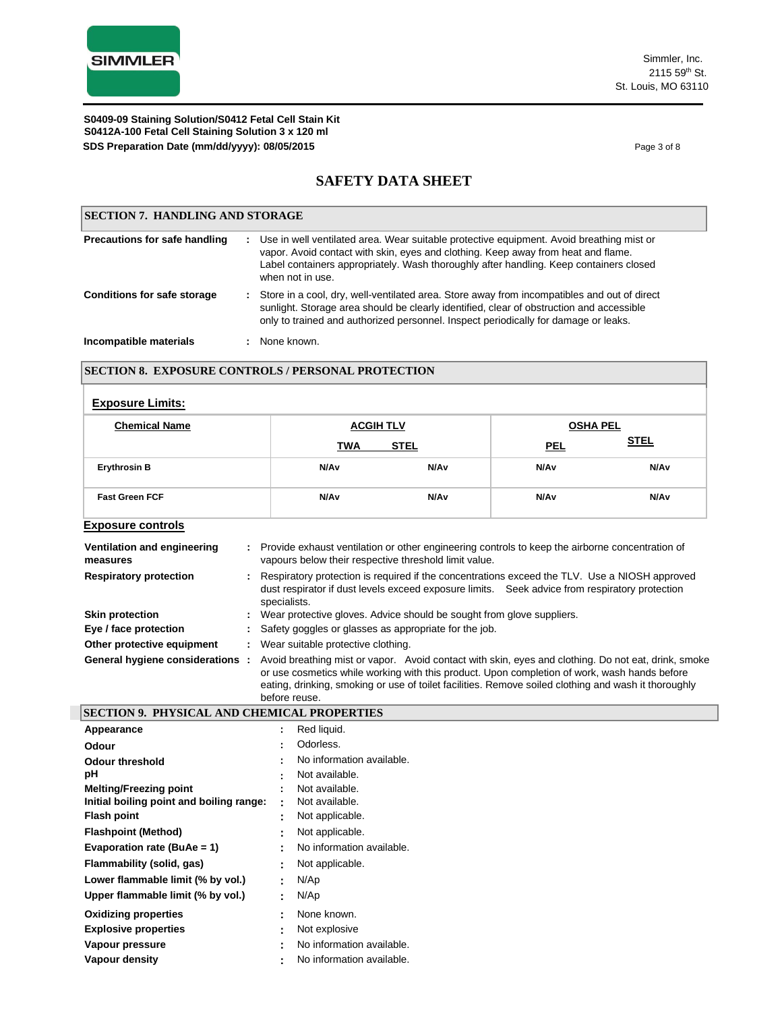**S0412A-100 Fetal Cell Staining Solution 3 x 120 ml SDS Preparation Date (mm/dd/yyyy): 08/05/2015 Page 3 of 8 Page 3 of 8 S0409-09 Staining Solution/S0412 Fetal Cell Stain Kit**

# **SAFETY DATA SHEET**

| <b>SECTION 7. HANDLING AND STORAGE</b> |  |                                                                                                                                                                                                                                                                                               |
|----------------------------------------|--|-----------------------------------------------------------------------------------------------------------------------------------------------------------------------------------------------------------------------------------------------------------------------------------------------|
| Precautions for safe handling          |  | : Use in well ventilated area. Wear suitable protective equipment. Avoid breathing mist or<br>vapor. Avoid contact with skin, eyes and clothing. Keep away from heat and flame.<br>Label containers appropriately. Wash thoroughly after handling. Keep containers closed<br>when not in use. |
| <b>Conditions for safe storage</b>     |  | : Store in a cool, dry, well-ventilated area. Store away from incompatibles and out of direct<br>sunlight. Storage area should be clearly identified, clear of obstruction and accessible<br>only to trained and authorized personnel. Inspect periodically for damage or leaks.              |
| Incompatible materials                 |  | None known.                                                                                                                                                                                                                                                                                   |

### **SECTION 8. EXPOSURE CONTROLS / PERSONAL PROTECTION**

| <b>Exposure Limits:</b> |  |
|-------------------------|--|
|-------------------------|--|

| <b>Chemical Name</b>     | <b>ACGIH TLV</b> |                  | <b>OSHA PEL</b>  |                  |  |
|--------------------------|------------------|------------------|------------------|------------------|--|
|                          | <b>TWA</b>       | <b>STEL</b>      | <b>PEL</b>       | <b>STEL</b>      |  |
| <b>Erythrosin B</b>      | N/A <sub>v</sub> | N/A <sub>v</sub> | N/A <sub>v</sub> | N/A <sub>v</sub> |  |
| <b>Fast Green FCF</b>    | N/A <sub>v</sub> | N/Av             | N/A <sub>v</sub> | N/A <sub>v</sub> |  |
| <b>Exposure controls</b> |                  |                  |                  |                  |  |

| Ventilation and engineering<br>measures | : Provide exhaust ventilation or other engineering controls to keep the airborne concentration of<br>vapours below their respective threshold limit value.                                                                                                                                                                   |  |  |
|-----------------------------------------|------------------------------------------------------------------------------------------------------------------------------------------------------------------------------------------------------------------------------------------------------------------------------------------------------------------------------|--|--|
| <b>Respiratory protection</b>           | : Respiratory protection is required if the concentrations exceed the TLV. Use a NIOSH approved<br>dust respirator if dust levels exceed exposure limits. Seek advice from respiratory protection<br>specialists.                                                                                                            |  |  |
| <b>Skin protection</b>                  | : Wear protective gloves. Advice should be sought from glove suppliers.                                                                                                                                                                                                                                                      |  |  |
| Eye / face protection                   | : Safety goggles or glasses as appropriate for the job.                                                                                                                                                                                                                                                                      |  |  |
| Other protective equipment              | : Wear suitable protective clothing.                                                                                                                                                                                                                                                                                         |  |  |
| General hygiene considerations          | Avoid breathing mist or vapor. Avoid contact with skin, eyes and clothing. Do not eat, drink, smoke<br>or use cosmetics while working with this product. Upon completion of work, wash hands before<br>eating, drinking, smoking or use of toilet facilities. Remove soiled clothing and wash it thoroughly<br>before reuse. |  |  |

| <b> SECTION 9. PHYSICAL AND CHEMICAL PROPERTIES</b> |                |                           |
|-----------------------------------------------------|----------------|---------------------------|
| Appearance                                          |                | Red liquid.               |
| <b>Odour</b>                                        | ٠              | Odorless.                 |
| <b>Odour threshold</b>                              |                | No information available. |
| рH                                                  |                | Not available.            |
| <b>Melting/Freezing point</b>                       |                | Not available.            |
| Initial boiling point and boiling range:            |                | Not available.            |
| <b>Flash point</b>                                  | ۰.             | Not applicable.           |
| <b>Flashpoint (Method)</b>                          |                | Not applicable.           |
| Evaporation rate (BuAe = 1)                         | ۰.             | No information available. |
| Flammability (solid, gas)                           | $\blacksquare$ | Not applicable.           |
| Lower flammable limit (% by vol.)                   | ۰.             | N/Ap                      |
| Upper flammable limit (% by vol.)                   | $\blacksquare$ | N/Ap                      |
| <b>Oxidizing properties</b>                         |                | None known.               |
| <b>Explosive properties</b>                         |                | Not explosive             |
| Vapour pressure                                     |                | No information available. |
| Vapour density                                      |                | No information available. |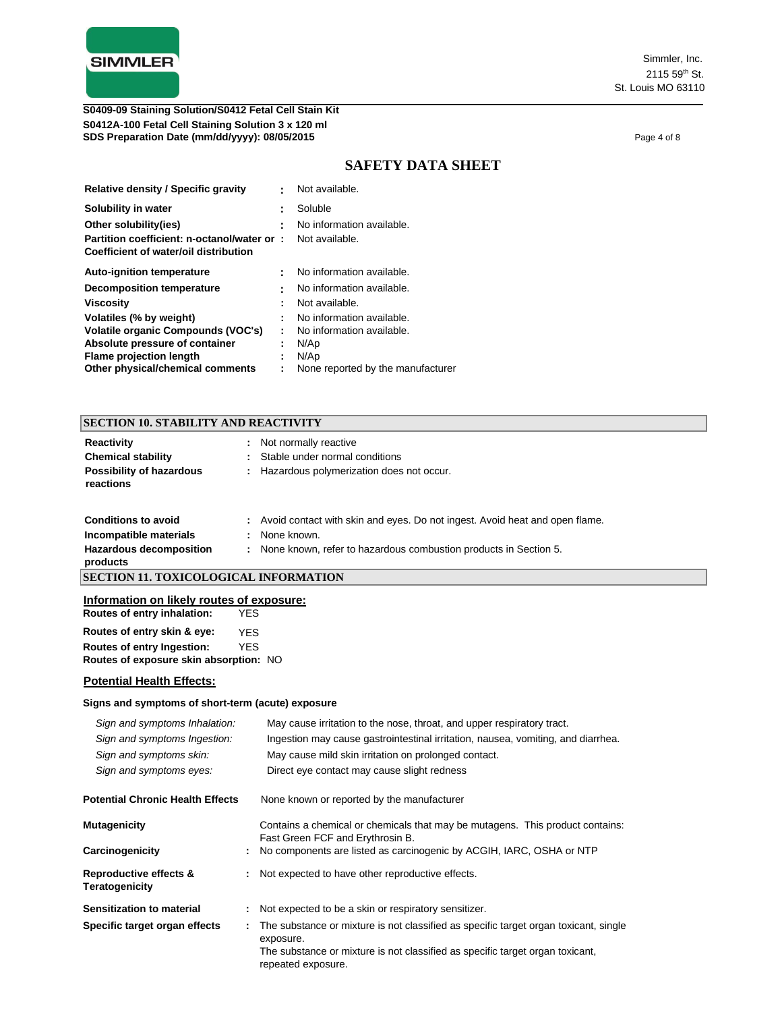

**S0412A-100 Fetal Cell Staining Solution 3 x 120 ml SDS Preparation Date (mm/dd/yyyy): 08/05/2015 Page 4 of 8 Page 4 of 8 Page 4 of 8 S0409-09 Staining Solution/S0412 Fetal Cell Stain Kit**

# **SAFETY DATA SHEET**

| <b>Relative density / Specific gravity</b> | t | Not available.                    |
|--------------------------------------------|---|-----------------------------------|
| Solubility in water                        | t | Soluble                           |
| Other solubility(ies)                      | t | No information available.         |
| Partition coefficient: n-octanol/water or: |   | Not available.                    |
| Coefficient of water/oil distribution      |   |                                   |
| <b>Auto-ignition temperature</b>           | t | No information available.         |
| <b>Decomposition temperature</b>           |   | No information available.         |
| <b>Viscosity</b>                           | ÷ | Not available.                    |
| Volatiles (% by weight)                    |   | No information available.         |
| Volatile organic Compounds (VOC's)         | ٠ | No information available.         |
| Absolute pressure of container             | ٠ | N/Ap                              |
| <b>Flame projection length</b>             | ÷ | N/Ap                              |
| Other physical/chemical comments           | t | None reported by the manufacturer |

### **SECTION 10. STABILITY AND REACTIVITY**

| Reactivity                                   | Not normally reactive                      |
|----------------------------------------------|--------------------------------------------|
| <b>Chemical stability</b>                    | : Stable under normal conditions           |
| <b>Possibility of hazardous</b><br>reactions | : Hazardous polymerization does not occur. |

| <b>SECTION 11. TOXICOLOGICAL INFORMATION</b> |  |                                                                               |
|----------------------------------------------|--|-------------------------------------------------------------------------------|
| products                                     |  |                                                                               |
| Hazardous decomposition                      |  | : None known, refer to hazardous combustion products in Section 5.            |
| Incompatible materials                       |  | : None known.                                                                 |
| <b>Conditions to avoid</b>                   |  | : Avoid contact with skin and eyes. Do not ingest. Avoid heat and open flame. |

### **Information on likely routes of exposure:**

| Routes of entry inhalation:            | YES        |  |
|----------------------------------------|------------|--|
| Routes of entry skin & eye:            | <b>YES</b> |  |
| Routes of entry Ingestion:             | <b>YFS</b> |  |
| Routes of exposure skin absorption: NO |            |  |

### **Potential Health Effects:**

### **Signs and symptoms of short-term (acute) exposure**

| Sign and symptoms Inhalation:            | May cause irritation to the nose, throat, and upper respiratory tract.                                            |  |  |  |  |  |
|------------------------------------------|-------------------------------------------------------------------------------------------------------------------|--|--|--|--|--|
| Sign and symptoms Ingestion:             | Ingestion may cause gastrointestinal irritation, nausea, vomiting, and diarrhea.                                  |  |  |  |  |  |
| Sign and symptoms skin:                  | May cause mild skin irritation on prolonged contact.                                                              |  |  |  |  |  |
| Sign and symptoms eyes:                  | Direct eye contact may cause slight redness                                                                       |  |  |  |  |  |
| <b>Potential Chronic Health Effects</b>  | None known or reported by the manufacturer                                                                        |  |  |  |  |  |
| <b>Mutagenicity</b>                      | Contains a chemical or chemicals that may be mutagens. This product contains:<br>Fast Green FCF and Erythrosin B. |  |  |  |  |  |
| Carcinogenicity                          | No components are listed as carcinogenic by ACGIH, IARC, OSHA or NTP                                              |  |  |  |  |  |
| Reproductive effects &<br>Teratogenicity | Not expected to have other reproductive effects.                                                                  |  |  |  |  |  |
| Sensitization to material                | Not expected to be a skin or respiratory sensitizer.                                                              |  |  |  |  |  |
| Specific target organ effects            | The substance or mixture is not classified as specific target organ toxicant, single<br>exposure.                 |  |  |  |  |  |
|                                          | The substance or mixture is not classified as specific target organ toxicant,<br>repeated exposure.               |  |  |  |  |  |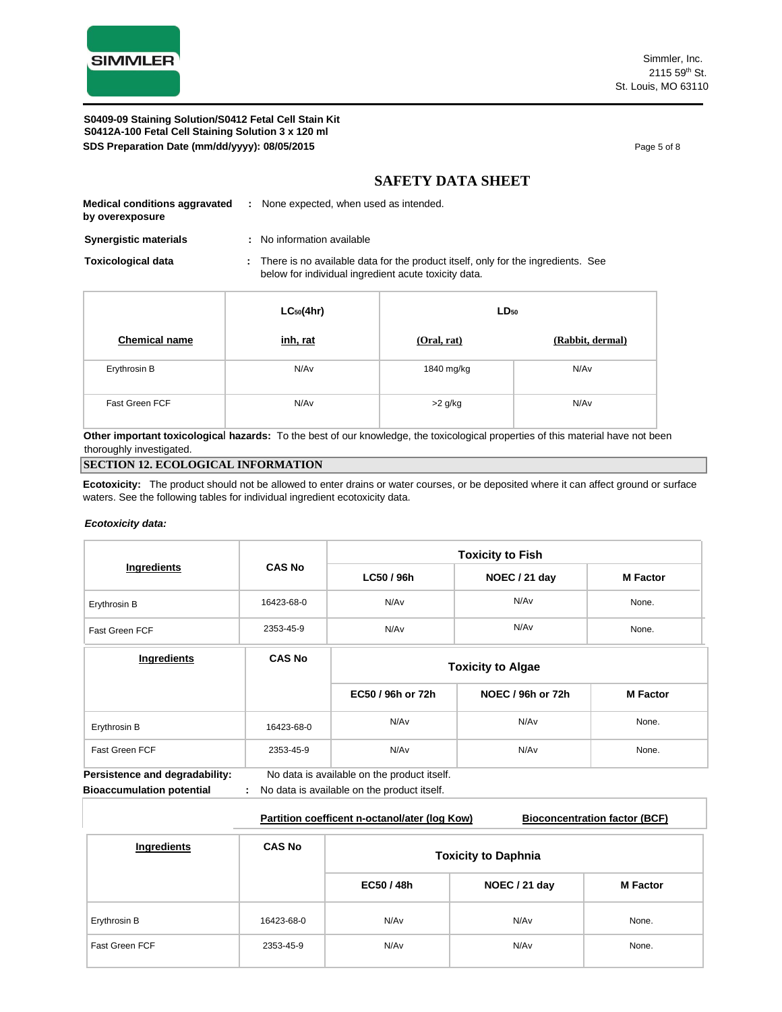

**S0412A-100 Fetal Cell Staining Solution 3 x 120 ml SDS Preparation Date (mm/dd/yyyy): 08/05/2015 Page 5 of 8 Page 5 of 8 S0409-09 Staining Solution/S0412 Fetal Cell Stain Kit**

# **SAFETY DATA SHEET**

| <b>Medical conditions aggravated</b><br>by overexposure | : None expected, when used as intended. |
|---------------------------------------------------------|-----------------------------------------|
| <b>Synergistic materials</b>                            | No information available                |

**Toxicological data :** There is no available data for the product itself, only for the ingredients. See below for individual ingredient acute toxicity data.

|                      | $LC_{50}(4hr)$ | $LD_{50}$   |                  |
|----------------------|----------------|-------------|------------------|
| <b>Chemical name</b> | inh, rat       | (Oral, rat) | (Rabbit, dermal) |
| Erythrosin B         | N/Av           | 1840 mg/kg  | N/Av             |
| Fast Green FCF       | N/Av           | $>2$ g/kg   | N/Av             |

**Other important toxicologica**l **hazards:** To the best of our knowledge, the toxicological properties of this material have not been thoroughly investigated.

### **SECTION 12. ECOLOGICAL INFORMATION**

**Ecotoxicity:** The product should not be allowed to enter drains or water courses, or be deposited where it can affect ground or surface waters. See the following tables for individual ingredient ecotoxicity data.

### *Ecotoxicity data:*

|                                                                    |               |                                                                                            | <b>Toxicity to Fish</b> |                 |  |  |
|--------------------------------------------------------------------|---------------|--------------------------------------------------------------------------------------------|-------------------------|-----------------|--|--|
| Ingredients                                                        | <b>CAS No</b> | LC50 / 96h                                                                                 | NOEC / 21 day           | <b>M</b> Factor |  |  |
| Erythrosin B                                                       | 16423-68-0    | N/Av                                                                                       | N/Av                    | None.           |  |  |
| Fast Green FCF                                                     | 2353-45-9     | N/Av                                                                                       | N/Av                    | None.           |  |  |
| Ingredients                                                        | <b>CAS No</b> | <b>Toxicity to Algae</b>                                                                   |                         |                 |  |  |
|                                                                    |               | EC50 / 96h or 72h                                                                          | NOEC / 96h or 72h       | <b>M</b> Factor |  |  |
| Erythrosin B                                                       | 16423-68-0    | N/Av                                                                                       | N/Av                    | None.           |  |  |
| Fast Green FCF                                                     | 2353-45-9     | N/Av                                                                                       | N/Av                    | None.           |  |  |
| Persistence and degradability:<br><b>Bioaccumulation potential</b> |               | No data is available on the product itself.<br>No data is available on the product itself. |                         |                 |  |  |

|                       |               | Partition coefficent n-octanol/ater (log Kow) |               | <b>Bioconcentration factor (BCF)</b> |  |  |  |
|-----------------------|---------------|-----------------------------------------------|---------------|--------------------------------------|--|--|--|
| Ingredients           | <b>CAS No</b> | <b>Toxicity to Daphnia</b>                    |               |                                      |  |  |  |
|                       |               | EC50 / 48h                                    | NOEC / 21 day | <b>M</b> Factor                      |  |  |  |
| Erythrosin B          | 16423-68-0    | N/Av                                          | N/Av          | None.                                |  |  |  |
| <b>Fast Green FCF</b> | 2353-45-9     | N/Av                                          | N/Av          | None.                                |  |  |  |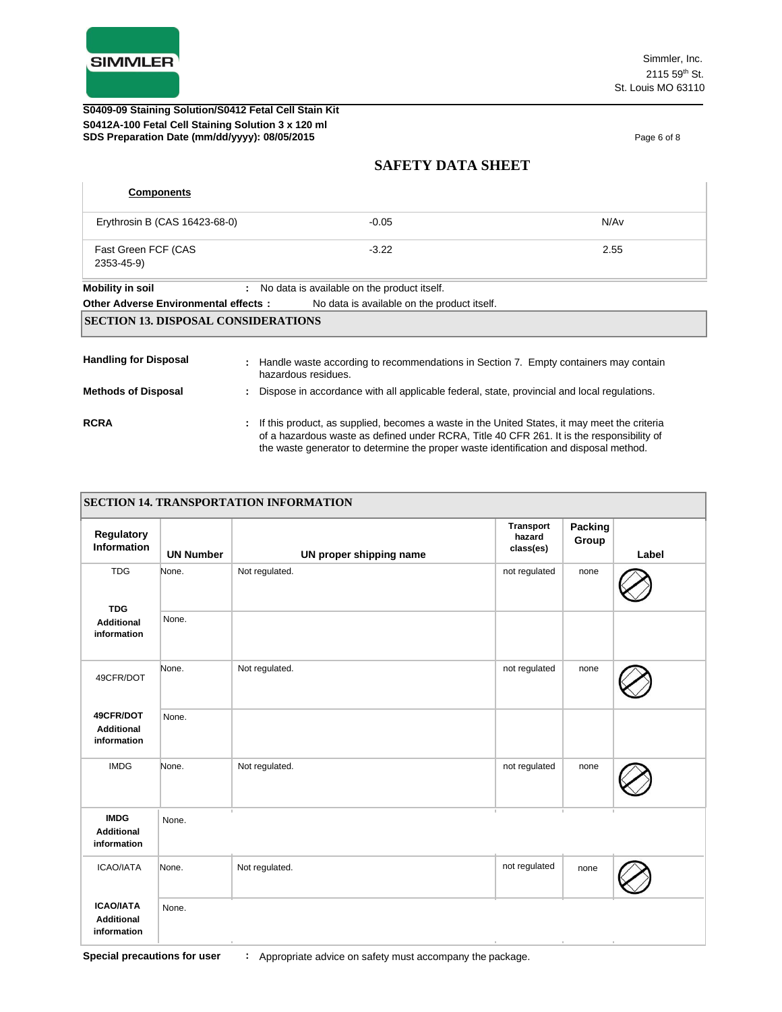

### **S0412A-100 Fetal Cell Staining Solution 3 x 120 ml SDS Preparation Date (mm/dd/yyyy): 08/05/2015 Page 6 of 8** Page 6 of 8 **S0409-09 Staining Solution/S0412 Fetal Cell Stain Kit**

# **SAFETY DATA SHEET**

| <b>Components</b>                          |                                                                                                                                                                                                                                                                                      |      |
|--------------------------------------------|--------------------------------------------------------------------------------------------------------------------------------------------------------------------------------------------------------------------------------------------------------------------------------------|------|
| Erythrosin B (CAS 16423-68-0)              | $-0.05$                                                                                                                                                                                                                                                                              | N/Av |
| Fast Green FCF (CAS<br>2353-45-9)          | $-3.22$                                                                                                                                                                                                                                                                              | 2.55 |
| <b>Mobility in soil</b>                    | : No data is available on the product itself.                                                                                                                                                                                                                                        |      |
| Other Adverse Environmental effects:       | No data is available on the product itself.                                                                                                                                                                                                                                          |      |
| <b>SECTION 13. DISPOSAL CONSIDERATIONS</b> |                                                                                                                                                                                                                                                                                      |      |
| <b>Handling for Disposal</b>               | : Handle waste according to recommendations in Section 7. Empty containers may contain<br>hazardous residues.                                                                                                                                                                        |      |
| <b>Methods of Disposal</b>                 | : Dispose in accordance with all applicable federal, state, provincial and local regulations.                                                                                                                                                                                        |      |
| <b>RCRA</b>                                | : If this product, as supplied, becomes a waste in the United States, it may meet the criteria<br>of a hazardous waste as defined under RCRA. Title 40 CFR 261. It is the responsibility of<br>the waste generator to determine the proper waste identification and disposal method. |      |

| Regulatory<br>Information                            | <b>UN Number</b> | UN proper shipping name | <b>Transport</b><br>hazard<br>class(es) | Packing<br>Group | Label |
|------------------------------------------------------|------------------|-------------------------|-----------------------------------------|------------------|-------|
| <b>TDG</b>                                           | None.            | Not regulated.          | not regulated                           | none             |       |
| <b>TDG</b><br><b>Additional</b><br>information       | None.            |                         |                                         |                  |       |
| 49CFR/DOT                                            | None.            | Not regulated.          | not regulated                           | none             |       |
| 49CFR/DOT<br><b>Additional</b><br>information        | None.            |                         |                                         |                  |       |
| <b>IMDG</b>                                          | None.            | Not regulated.          | not regulated                           | none             |       |
| <b>IMDG</b><br><b>Additional</b><br>information      | None.            |                         | - 11                                    |                  |       |
| <b>ICAO/IATA</b>                                     | None.            | Not regulated.          | not regulated                           | none             |       |
| <b>ICAO/IATA</b><br><b>Additional</b><br>information | None.            |                         |                                         |                  |       |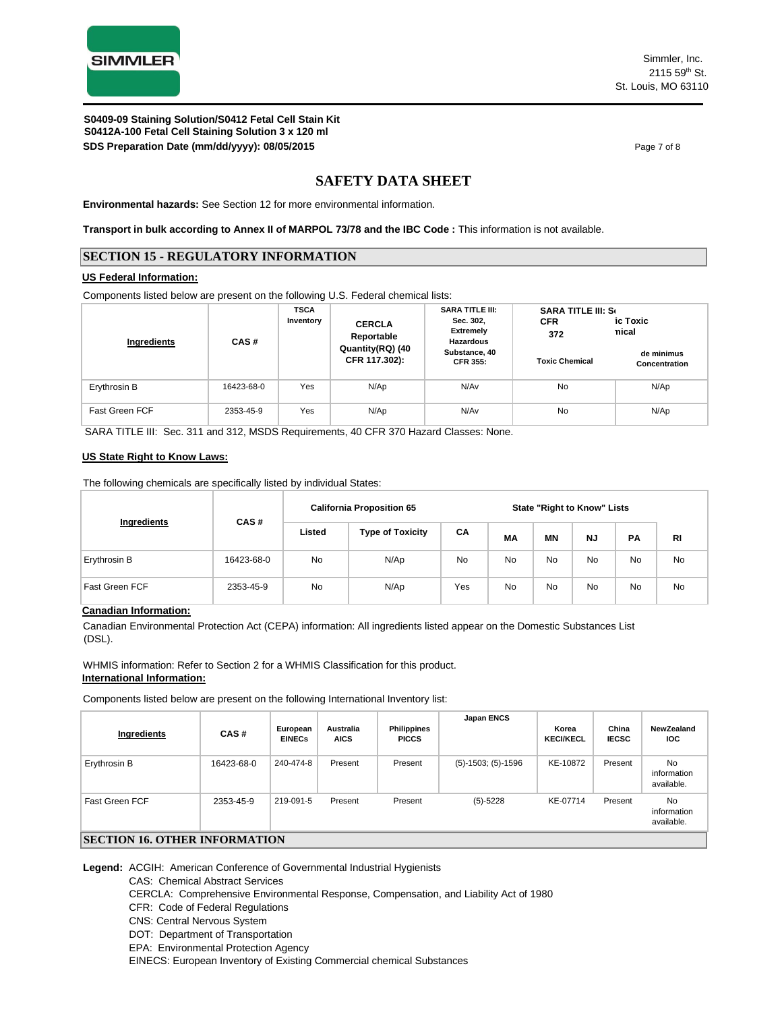

**S0412A-100 Fetal Cell Staining Solution 3 x 120 ml SDS Preparation Date (mm/dd/yyyy): 08/05/2015 Page 7 of 8 Page 7 of 8 S0409-09 Staining Solution/S0412 Fetal Cell Stain Kit**

## **SAFETY DATA SHEET**

**Environmental hazards:** See Section 12 for more environmental information.

**Transport in bulk according to Annex II of MARPOL 73/78 and the IBC Code :** This information is not available.

### **SECTION 15 - REGULATORY INFORMATION**

#### **US Federal Information:**

Components listed below are present on the following U.S. Federal chemical lists:

| Ingredients           | CAS#       | <b>TSCA</b><br>Inventory | <b>CERCLA</b><br>Reportable       | <b>SARA TITLE III:</b><br>Sec. 302,<br><b>Extremely</b><br><b>Hazardous</b> | <b>SARA TITLE III: Se</b><br><b>CFR</b><br>372 | ic Toxic<br>nical           |
|-----------------------|------------|--------------------------|-----------------------------------|-----------------------------------------------------------------------------|------------------------------------------------|-----------------------------|
|                       |            |                          | Quantity(RQ) (40<br>CFR 117.302): | Substance, 40<br><b>CFR 355:</b>                                            | <b>Toxic Chemical</b>                          | de minimus<br>Concentration |
| Erythrosin B          | 16423-68-0 | Yes                      | N/Ap                              | N/Av                                                                        | No                                             | N/Ap                        |
| <b>Fast Green FCF</b> | 2353-45-9  | Yes                      | N/Ap                              | N/Av                                                                        | No                                             | N/Ap                        |

SARA TITLE III: Sec. 311 and 312, MSDS Requirements, 40 CFR 370 Hazard Classes: None.

#### **US State Right to Know Laws:**

The following chemicals are specifically listed by individual States:

|                |            |                                   | <b>California Proposition 65</b> |     |    |    | <b>State "Right to Know" Lists</b> |           |           |
|----------------|------------|-----------------------------------|----------------------------------|-----|----|----|------------------------------------|-----------|-----------|
| Ingredients    | CAS#       | Listed<br><b>Type of Toxicity</b> |                                  | CA  | МA | ΜN | <b>NJ</b>                          | <b>PA</b> | RI        |
| Erythrosin B   | 16423-68-0 | No                                | N/Ap                             | No  | No | No | No                                 | No        | <b>No</b> |
| Fast Green FCF | 2353-45-9  | No                                | N/Ap                             | Yes | No | No | No                                 | <b>No</b> | <b>No</b> |

### **Canadian Information:**

Canadian Environmental Protection Act (CEPA) information: All ingredients listed appear on the Domestic Substances List (DSL).

WHMIS information: Refer to Section 2 for a WHMIS Classification for this product. **International Information:**

Components listed below are present on the following International Inventory list:

| Ingredients                 | CAS#       | European<br><b>EINECs</b> | <b>Australia</b><br><b>AICS</b> | Philippines<br><b>PICCS</b> | Japan ENCS           | Korea<br><b>KECI/KECL</b> | China<br><b>IECSC</b> | NewZealand<br><b>IOC</b>        |
|-----------------------------|------------|---------------------------|---------------------------------|-----------------------------|----------------------|---------------------------|-----------------------|---------------------------------|
| Erythrosin B                | 16423-68-0 | 240-474-8                 | Present                         | Present                     | $(5)-1503; (5)-1596$ | KE-10872                  | Present               | No<br>information<br>available. |
| Fast Green FCF              | 2353-45-9  | 219-091-5                 | Present                         | Present                     | $(5)-5228$           | KE-07714                  | Present               | No<br>information<br>available. |
| CEATION 17 ATHED BEADMATION |            |                           |                                 |                             |                      |                           |                       |                                 |

#### **SECTION 16. OTHER INFORMATION**

**Legend:** ACGIH: American Conference of Governmental Industrial Hygienists

CAS: Chemical Abstract Services

CERCLA: Comprehensive Environmental Response, Compensation, and Liability Act of 1980

CFR: Code of Federal Regulations

CNS: Central Nervous System

DOT: Department of Transportation

EPA: Environmental Protection Agency

EINECS: European Inventory of Existing Commercial chemical Substances